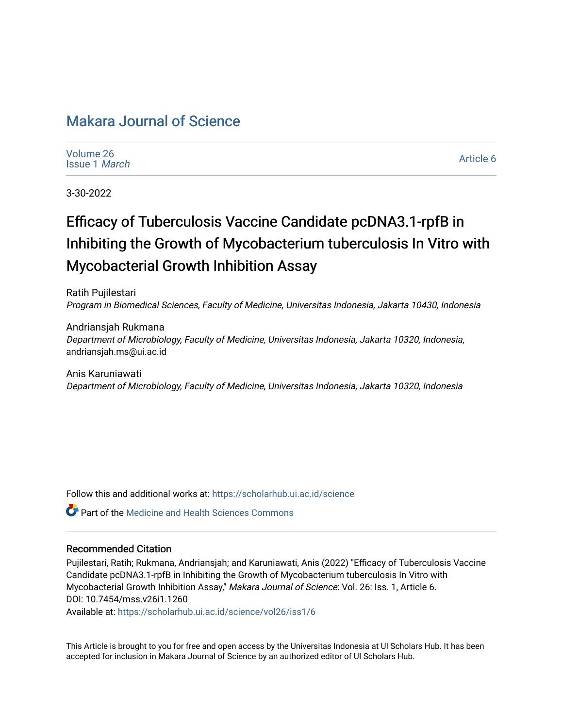# [Makara Journal of Science](https://scholarhub.ui.ac.id/science)

| Volume 26 |                      |
|-----------|----------------------|
|           | <b>Issue 1 March</b> |

[Article 6](https://scholarhub.ui.ac.id/science/vol26/iss1/6) 

3-30-2022

# Efficacy of Tuberculosis Vaccine Candidate pcDNA3.1-rpfB in Inhibiting the Growth of Mycobacterium tuberculosis In Vitro with Mycobacterial Growth Inhibition Assay

Ratih Pujilestari Program in Biomedical Sciences, Faculty of Medicine, Universitas Indonesia, Jakarta 10430, Indonesia

Andriansjah Rukmana Department of Microbiology, Faculty of Medicine, Universitas Indonesia, Jakarta 10320, Indonesia, andriansjah.ms@ui.ac.id

Anis Karuniawati Department of Microbiology, Faculty of Medicine, Universitas Indonesia, Jakarta 10320, Indonesia

Follow this and additional works at: [https://scholarhub.ui.ac.id/science](https://scholarhub.ui.ac.id/science?utm_source=scholarhub.ui.ac.id%2Fscience%2Fvol26%2Fiss1%2F6&utm_medium=PDF&utm_campaign=PDFCoverPages) 

Part of the [Medicine and Health Sciences Commons](http://network.bepress.com/hgg/discipline/648?utm_source=scholarhub.ui.ac.id%2Fscience%2Fvol26%2Fiss1%2F6&utm_medium=PDF&utm_campaign=PDFCoverPages) 

## Recommended Citation

Pujilestari, Ratih; Rukmana, Andriansjah; and Karuniawati, Anis (2022) "Efficacy of Tuberculosis Vaccine Candidate pcDNA3.1-rpfB in Inhibiting the Growth of Mycobacterium tuberculosis In Vitro with Mycobacterial Growth Inhibition Assay," Makara Journal of Science: Vol. 26: Iss. 1, Article 6. DOI: 10.7454/mss.v26i1.1260

Available at: [https://scholarhub.ui.ac.id/science/vol26/iss1/6](https://scholarhub.ui.ac.id/science/vol26/iss1/6?utm_source=scholarhub.ui.ac.id%2Fscience%2Fvol26%2Fiss1%2F6&utm_medium=PDF&utm_campaign=PDFCoverPages)

This Article is brought to you for free and open access by the Universitas Indonesia at UI Scholars Hub. It has been accepted for inclusion in Makara Journal of Science by an authorized editor of UI Scholars Hub.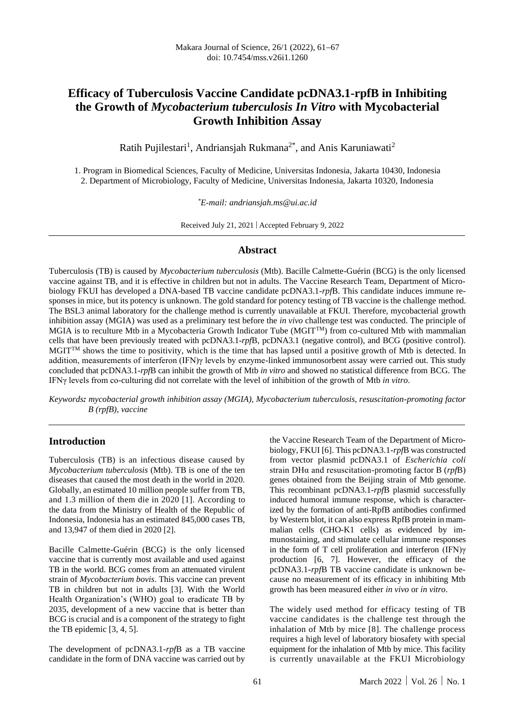# **Efficacy of Tuberculosis Vaccine Candidate pcDNA3.1-rpfB in Inhibiting the Growth of** *Mycobacterium tuberculosis In Vitro* **with Mycobacterial Growth Inhibition Assay**

Ratih Pujilestari<sup>1</sup>, Andriansjah Rukmana<sup>2\*</sup>, and Anis Karuniawati<sup>2</sup>

1. Program in Biomedical Sciences, Faculty of Medicine, Universitas Indonesia, Jakarta 10430, Indonesia 2. Department of Microbiology, Faculty of Medicine, Universitas Indonesia, Jakarta 10320, Indonesia

*\*E-mail: andriansjah.ms@ui.ac.id*

Received July 21, 2021 | Accepted February 9, 2022

#### **Abstract**

Tuberculosis (TB) is caused by *Mycobacterium tuberculosis* (Mtb). Bacille Calmette-Guérin (BCG) is the only licensed vaccine against TB, and it is effective in children but not in adults. The Vaccine Research Team, Department of Microbiology FKUI has developed a DNA-based TB vaccine candidate pcDNA3.1-*rpf*B. This candidate induces immune responses in mice, but its potency is unknown. The gold standard for potency testing of TB vaccine is the challenge method. The BSL3 animal laboratory for the challenge method is currently unavailable at FKUI. Therefore, mycobacterial growth inhibition assay (MGIA) was used as a preliminary test before the *in vivo* challenge test was conducted. The principle of MGIA is to reculture Mtb in a Mycobacteria Growth Indicator Tube (MGITTM) from co-cultured Mtb with mammalian cells that have been previously treated with pcDNA3.1-*rpf*B, pcDNA3.1 (negative control), and BCG (positive control). MGIT<sup>TM</sup> shows the time to positivity, which is the time that has lapsed until a positive growth of Mtb is detected. In addition, measurements of interferon (IFN)γ levels by enzyme-linked immunosorbent assay were carried out. This study concluded that pcDNA3.1-*rpf*B can inhibit the growth of Mtb *in vitro* and showed no statistical difference from BCG. The IFNγ levels from co-culturing did not correlate with the level of inhibition of the growth of Mtb *in vitro*.

*Keywords: mycobacterial growth inhibition assay (MGIA), Mycobacterium tuberculosis, resuscitation-promoting factor B (rpfB), vaccine*

#### **Introduction**

Tuberculosis (TB) is an infectious disease caused by *Mycobacterium tuberculosis* (Mtb). TB is one of the ten diseases that caused the most death in the world in 2020. Globally, an estimated 10 million people suffer from TB, and 1.3 million of them die in 2020 [1]. According to the data from the Ministry of Health of the Republic of Indonesia, Indonesia has an estimated 845,000 cases TB, and 13,947 of them died in 2020 [2].

Bacille Calmette-Guérin (BCG) is the only licensed vaccine that is currently most available and used against TB in the world. BCG comes from an attenuated virulent strain of *Mycobacterium bovis*. This vaccine can prevent TB in children but not in adults [3]. With the World Health Organization's (WHO) goal to eradicate TB by 2035, development of a new vaccine that is better than BCG is crucial and is a component of the strategy to fight the TB epidemic [3, 4, 5].

The development of pcDNA3.1-*rpf*B as a TB vaccine candidate in the form of DNA vaccine was carried out by the Vaccine Research Team of the Department of Microbiology, FKUI [6]. This pcDNA3.1-*rpf*B was constructed from vector plasmid pcDNA3.1 of *Escherichia coli* strain DHα and resuscitation-promoting factor B (*rpf*B) genes obtained from the Beijing strain of Mtb genome. This recombinant pcDNA3.1-*rpf*B plasmid successfully induced humoral immune response, which is characterized by the formation of anti-RpfB antibodies confirmed by Western blot, it can also express RpfB protein in mammalian cells (CHO-K1 cells) as evidenced by immunostaining, and stimulate cellular immune responses in the form of T cell proliferation and interferon (IFN)γ production [6, 7]. However, the efficacy of the pcDNA3.1-*rpf*B TB vaccine candidate is unknown because no measurement of its efficacy in inhibiting Mtb growth has been measured either *in vivo* or *in vitro*.

The widely used method for efficacy testing of TB vaccine candidates is the challenge test through the inhalation of Mtb by mice [8]. The challenge process requires a high level of laboratory biosafety with special equipment for the inhalation of Mtb by mice. This facility is currently unavailable at the FKUI Microbiology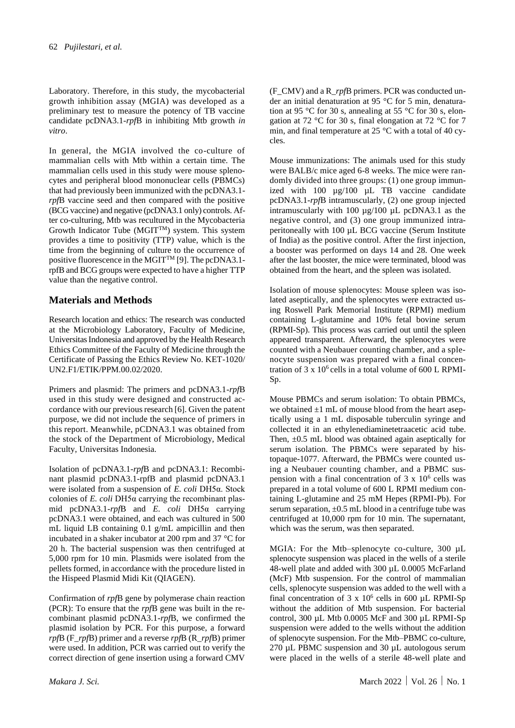Laboratory. Therefore, in this study, the mycobacterial growth inhibition assay (MGIA) was developed as a preliminary test to measure the potency of TB vaccine candidate pcDNA3.1-*rpf*B in inhibiting Mtb growth *in vitro*.

In general, the MGIA involved the co-culture of mammalian cells with Mtb within a certain time. The mammalian cells used in this study were mouse splenocytes and peripheral blood mononuclear cells (PBMCs) that had previously been immunized with the pcDNA3.1 *rpf*B vaccine seed and then compared with the positive (BCG vaccine) and negative (pcDNA3.1 only) controls. After co-culturing, Mtb was recultured in the Mycobacteria Growth Indicator Tube (MGIT<sup>TM</sup>) system. This system provides a time to positivity (TTP) value, which is the time from the beginning of culture to the occurrence of positive fluorescence in the MGITTM [9]. The pcDNA3.1 rpfB and BCG groups were expected to have a higher TTP value than the negative control.

# **Materials and Methods**

Research location and ethics: The research was conducted at the Microbiology Laboratory, Faculty of Medicine, Universitas Indonesia and approved by the Health Research Ethics Committee of the Faculty of Medicine through the Certificate of Passing the Ethics Review No. KET-1020/ UN2.F1/ETIK/PPM.00.02/2020.

Primers and plasmid: The primers and pcDNA3.1-*rpf*B used in this study were designed and constructed accordance with our previous research [6]. Given the patent purpose, we did not include the sequence of primers in this report. Meanwhile, pCDNA3.1 was obtained from the stock of the Department of Microbiology, Medical Faculty, Universitas Indonesia.

Isolation of pcDNA3.1-*rpf*B and pcDNA3.1: Recombinant plasmid pcDNA3.1-rpfB and plasmid pcDNA3.1 were isolated from a suspension of *E. coli* DH5α. Stock colonies of *E. coli* DH5α carrying the recombinant plasmid pcDNA3.1-*rpf*B and *E. coli* DH5α carrying pcDNA3.1 were obtained, and each was cultured in 500 mL liquid LB containing 0.1 g/mL ampicillin and then incubated in a shaker incubator at 200 rpm and 37 °C for 20 h. The bacterial suspension was then centrifuged at 5,000 rpm for 10 min. Plasmids were isolated from the pellets formed, in accordance with the procedure listed in the Hispeed Plasmid Midi Kit (QIAGEN).

Confirmation of *rpf*B gene by polymerase chain reaction (PCR): To ensure that the *rpf*B gene was built in the recombinant plasmid pcDNA3.1-*rpf*B, we confirmed the plasmid isolation by PCR. For this purpose, a forward *rpf*B (F\_*rpf*B) primer and a reverse *rpf*B (R\_*rpf*B) primer were used. In addition, PCR was carried out to verify the correct direction of gene insertion using a forward CMV

(F\_CMV) and a R\_*rpf*B primers. PCR was conducted under an initial denaturation at 95 °C for 5 min, denaturation at 95 °C for 30 s, annealing at 55 °C for 30 s, elongation at 72 °C for 30 s, final elongation at 72 °C for 7 min, and final temperature at 25 °C with a total of 40 cycles.

Mouse immunizations: The animals used for this study were BALB/c mice aged 6-8 weeks. The mice were randomly divided into three groups: (1) one group immunized with 100 µg/100 µL TB vaccine candidate pcDNA3.1-*rpf*B intramuscularly, (2) one group injected intramuscularly with 100  $\mu$ g/100  $\mu$ L pcDNA3.1 as the negative control, and (3) one group immunized intraperitoneally with 100 µL BCG vaccine (Serum Institute of India) as the positive control. After the first injection, a booster was performed on days 14 and 28. One week after the last booster, the mice were terminated, blood was obtained from the heart, and the spleen was isolated.

Isolation of mouse splenocytes: Mouse spleen was isolated aseptically, and the splenocytes were extracted using Roswell Park Memorial Institute (RPMI) medium containing L-glutamine and 10% fetal bovine serum (RPMI-Sp). This process was carried out until the spleen appeared transparent. Afterward, the splenocytes were counted with a Neubauer counting chamber, and a splenocyte suspension was prepared with a final concentration of  $3 \times 10^6$  cells in a total volume of 600 L RPMI-Sp.

Mouse PBMCs and serum isolation: To obtain PBMCs, we obtained  $\pm 1$  mL of mouse blood from the heart aseptically using a 1 mL disposable tuberculin syringe and collected it in an ethylenediaminetetraacetic acid tube. Then, ±0.5 mL blood was obtained again aseptically for serum isolation. The PBMCs were separated by histopaque-1077. Afterward, the PBMCs were counted using a Neubauer counting chamber, and a PBMC suspension with a final concentration of  $3 \times 10^6$  cells was prepared in a total volume of 600 L RPMI medium containing L-glutamine and 25 mM Hepes (RPMI-Pb). For serum separation,  $\pm 0.5$  mL blood in a centrifuge tube was centrifuged at 10,000 rpm for 10 min. The supernatant, which was the serum, was then separated.

MGIA: For the Mtb–splenocyte co-culture, 300 µL splenocyte suspension was placed in the wells of a sterile 48-well plate and added with 300 µL 0.0005 McFarland (McF) Mtb suspension. For the control of mammalian cells, splenocyte suspension was added to the well with a final concentration of  $3 \times 10^6$  cells in 600 µL RPMI-Sp without the addition of Mtb suspension. For bacterial control, 300 µL Mtb 0.0005 McF and 300 µL RPMI-Sp suspension were added to the wells without the addition of splenocyte suspension. For the Mtb–PBMC co-culture, 270 µL PBMC suspension and 30 µL autologous serum were placed in the wells of a sterile 48-well plate and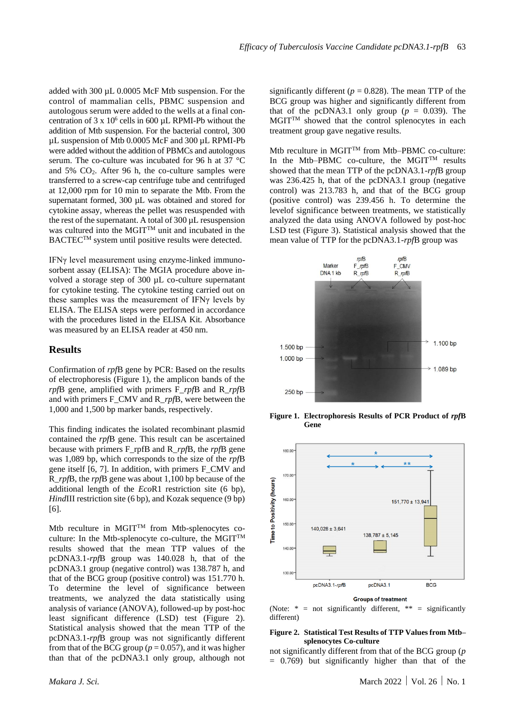added with 300 µL 0.0005 McF Mtb suspension. For the control of mammalian cells, PBMC suspension and autologous serum were added to the wells at a final concentration of  $3 \times 10^6$  cells in 600 µL RPMI-Pb without the addition of Mtb suspension. For the bacterial control, 300 µL suspension of Mtb 0.0005 McF and 300 µL RPMI-Pb were added without the addition of PBMCs and autologous serum. The co-culture was incubated for 96 h at 37 °C and  $5\%$  CO<sub>2</sub>. After 96 h, the co-culture samples were transferred to a screw-cap centrifuge tube and centrifuged at 12,000 rpm for 10 min to separate the Mtb. From the supernatant formed, 300 µL was obtained and stored for cytokine assay, whereas the pellet was resuspended with the rest of the supernatant. A total of 300 µL resuspension was cultured into the MGIT<sup>TM</sup> unit and incubated in the BACTEC<sup>TM</sup> system until positive results were detected.

IFNγ level measurement using enzyme-linked immunosorbent assay (ELISA): The MGIA procedure above involved a storage step of 300 µL co-culture supernatant for cytokine testing. The cytokine testing carried out on these samples was the measurement of IFNγ levels by ELISA. The ELISA steps were performed in accordance with the procedures listed in the ELISA Kit. Absorbance was measured by an ELISA reader at 450 nm.

#### **Results**

Confirmation of *rpf*B gene by PCR: Based on the results of electrophoresis (Figure 1), the amplicon bands of the *rpf*B gene, amplified with primers F\_*rpf*B and R\_*rpf*B and with primers F\_CMV and R\_*rpf*B, were between the 1,000 and 1,500 bp marker bands, respectively.

This finding indicates the isolated recombinant plasmid contained the *rpf*B gene. This result can be ascertained because with primers F\_rpfB and R\_*rpf*B, the *rpf*B gene was 1,089 bp, which corresponds to the size of the *rpf*B gene itself [6, 7]. In addition, with primers F\_CMV and R\_*rpf*B, the *rpf*B gene was about 1,100 bp because of the additional length of the *Eco*R1 restriction site (6 bp), *HindIII* restriction site (6 bp), and Kozak sequence (9 bp) [6].

Mtb reculture in MGIT $^{TM}$  from Mtb-splenocytes coculture: In the Mtb-splenocyte co-culture, the MGIT<sup>TM</sup> results showed that the mean TTP values of the pcDNA3.1-*rpf*B group was 140.028 h, that of the pcDNA3.1 group (negative control) was 138.787 h, and that of the BCG group (positive control) was 151.770 h. To determine the level of significance between treatments, we analyzed the data statistically using analysis of variance (ANOVA), followed-up by post-hoc least significant difference (LSD) test (Figure 2). Statistical analysis showed that the mean TTP of the pcDNA3.1-*rpf*B group was not significantly different from that of the BCG group ( $p = 0.057$ ), and it was higher than that of the pcDNA3.1 only group, although not significantly different ( $p = 0.828$ ). The mean TTP of the BCG group was higher and significantly different from that of the pcDNA3.1 only group ( $p = 0.039$ ). The  $MGIT<sup>TM</sup>$  showed that the control splenocytes in each treatment group gave negative results.

Mtb reculture in MGIT<sup>TM</sup> from Mtb–PBMC co-culture: In the Mtb–PBMC co-culture, the MGIT<sup>TM</sup> results showed that the mean TTP of the pcDNA3.1-*rpf*B group was 236.425 h, that of the pcDNA3.1 group (negative control) was 213.783 h, and that of the BCG group (positive control) was 239.456 h. To determine the levelof significance between treatments, we statistically analyzed the data using ANOVA followed by post-hoc LSD test (Figure 3). Statistical analysis showed that the mean value of TTP for the pcDNA3.1-*rpf*B group was



**Figure 1. Electrophoresis Results of PCR Product of** *rpf***B Gene**



(Note:  $* = \text{not significantly different}, ** = significantly$ different)

#### **Figure 2. Statistical Test Results of TTP Values from Mtb– splenocytes Co-culture**

not significantly different from that of the BCG group (*p*  $= 0.769$ ) but significantly higher than that of the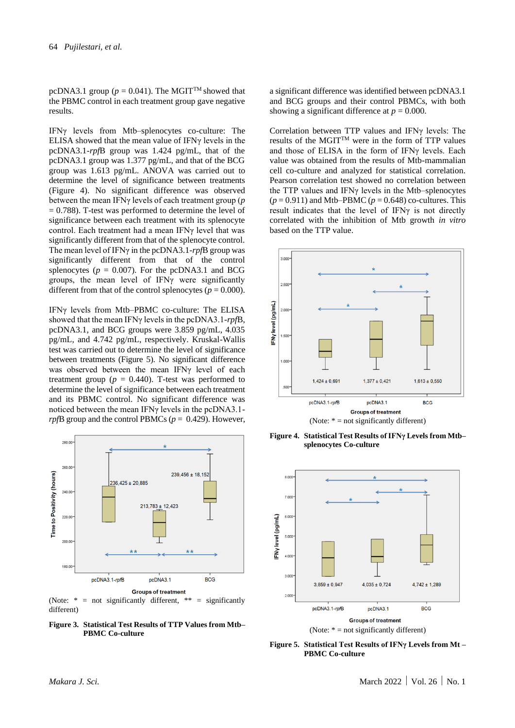pcDNA3.1 group ( $p = 0.041$ ). The MGIT<sup>TM</sup> showed that the PBMC control in each treatment group gave negative results.

IFNγ levels from Mtb–splenocytes co-culture: The ELISA showed that the mean value of IFNγ levels in the pcDNA3.1-*rpf*B group was 1.424 pg/mL, that of the pcDNA3.1 group was 1.377 pg/mL, and that of the BCG group was 1.613 pg/mL. ANOVA was carried out to determine the level of significance between treatments (Figure 4). No significant difference was observed between the mean IFNγ levels of each treatment group (*p*  $= 0.788$ ). T-test was performed to determine the level of significance between each treatment with its splenocyte control. Each treatment had a mean IFNγ level that was significantly different from that of the splenocyte control. The mean level of IFNγ in the pcDNA3.1-*rpf*B group was significantly different from that of the control splenocytes ( $p = 0.007$ ). For the pcDNA3.1 and BCG groups, the mean level of IFNγ were significantly different from that of the control splenocytes ( $p = 0.000$ ).

IFNγ levels from Mtb–PBMC co-culture: The ELISA showed that the mean IFNγ levels in the pcDNA3.1-*rpf*B, pcDNA3.1, and BCG groups were 3.859 pg/mL, 4.035 pg/mL, and 4.742 pg/mL, respectively. Kruskal-Wallis test was carried out to determine the level of significance between treatments (Figure 5). No significant difference was observed between the mean IFNγ level of each treatment group ( $p = 0.440$ ). T-test was performed to determine the level of significance between each treatment and its PBMC control. No significant difference was noticed between the mean IFNγ levels in the pcDNA3.1 *rpf*B group and the control PBMCs (*p* = 0.429). However,



(Note:  $* = not significantly different, ** = significantly$ different)

**Figure 3. Statistical Test Results of TTP Values from Mtb– PBMC Co-culture**

a significant difference was identified between pcDNA3.1 and BCG groups and their control PBMCs, with both showing a significant difference at  $p = 0.000$ .

Correlation between TTP values and IFNγ levels: The results of the MGITTM were in the form of TTP values and those of ELISA in the form of IFNγ levels. Each value was obtained from the results of Mtb-mammalian cell co-culture and analyzed for statistical correlation. Pearson correlation test showed no correlation between the TTP values and IFNγ levels in the Mtb–splenocytes  $(p = 0.911)$  and Mtb–PBMC  $(p = 0.648)$  co-cultures. This result indicates that the level of IFNγ is not directly correlated with the inhibition of Mtb growth *in vitro* based on the TTP value.



**Figure 4. Statistical Test Results of IFNγ Levels from Mtb– splenocytes Co-culture**



**Figure 5. Statistical Test Results of IFNγ Levels from Mt – PBMC Co-culture**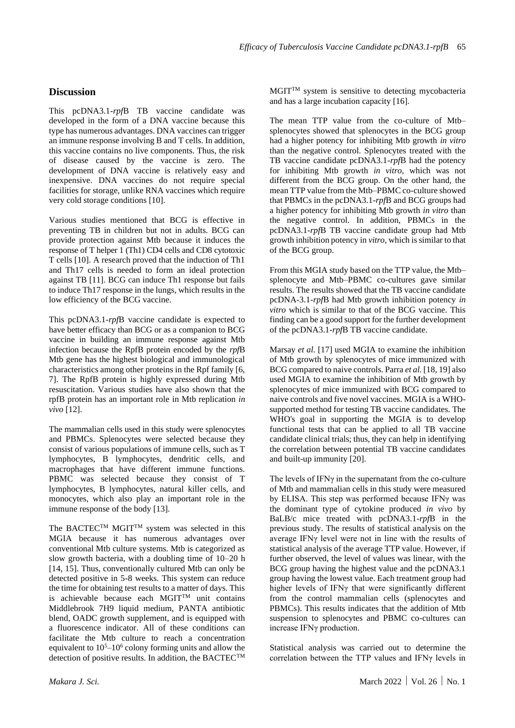# **Discussion**

This pcDNA3.1-*rpf*B TB vaccine candidate was developed in the form of a DNA vaccine because this type has numerous advantages. DNA vaccines can trigger an immune response involving B and T cells. In addition, this vaccine contains no live components. Thus, the risk of disease caused by the vaccine is zero. The development of DNA vaccine is relatively easy and inexpensive. DNA vaccines do not require special facilities for storage, unlike RNA vaccines which require very cold storage conditions [10].

Various studies mentioned that BCG is effective in preventing TB in children but not in adults. BCG can provide protection against Mtb because it induces the response of T helper 1 (Th1) CD4 cells and CD8 cytotoxic T cells [10]. A research proved that the induction of Th1 and Th17 cells is needed to form an ideal protection against TB [11]. BCG can induce Th1 response but fails to induce Th17 response in the lungs, which results in the low efficiency of the BCG vaccine.

This pcDNA3.1-*rpf*B vaccine candidate is expected to have better efficacy than BCG or as a companion to BCG vaccine in building an immune response against Mtb infection because the RpfB protein encoded by the *rpf*B Mtb gene has the highest biological and immunological characteristics among other proteins in the Rpf family [6, 7]. The RpfB protein is highly expressed during Mtb resuscitation. Various studies have also shown that the rpfB protein has an important role in Mtb replication *in vivo* [12].

The mammalian cells used in this study were splenocytes and PBMCs. Splenocytes were selected because they consist of various populations of immune cells, such as T lymphocytes, B lymphocytes, dendritic cells, and macrophages that have different immune functions. PBMC was selected because they consist of T lymphocytes, B lymphocytes, natural killer cells, and monocytes, which also play an important role in the immune response of the body [13].

The BACTEC<sup>TM</sup> MGIT<sup>TM</sup> system was selected in this MGIA because it has numerous advantages over conventional Mtb culture systems. Mtb is categorized as slow growth bacteria, with a doubling time of 10–20 h [14, 15]. Thus, conventionally cultured Mtb can only be detected positive in 5-8 weeks. This system can reduce the time for obtaining test results to a matter of days. This is achievable because each MGITTM unit contains Middlebrook 7H9 liquid medium, PANTA antibiotic blend, OADC growth supplement, and is equipped with a fluorescence indicator. All of these conditions can facilitate the Mtb culture to reach a concentration equivalent to  $10^5 - 10^6$  colony forming units and allow the detection of positive results. In addition, the BACTECTM

MGITTM system is sensitive to detecting mycobacteria and has a large incubation capacity [16].

The mean TTP value from the co-culture of Mtb– splenocytes showed that splenocytes in the BCG group had a higher potency for inhibiting Mtb growth *in vitro* than the negative control. Splenocytes treated with the TB vaccine candidate pcDNA3.1-*rpf*B had the potency for inhibiting Mtb growth *in vitro*, which was not different from the BCG group. On the other hand, the mean TTP value from the Mtb–PBMC co-culture showed that PBMCs in the pcDNA3.1-*rpf*B and BCG groups had a higher potency for inhibiting Mtb growth *in vitro* than the negative control. In addition, PBMCs in the pcDNA3.1-*rpf*B TB vaccine candidate group had Mtb growth inhibition potency in *vitro*, which is similar to that of the BCG group.

From this MGIA study based on the TTP value, the Mtb– splenocyte and Mtb–PBMC co-cultures gave similar results. The results showed that the TB vaccine candidate pcDNA-3.1-*rpf*B had Mtb growth inhibition potency *in vitro* which is similar to that of the BCG vaccine. This finding can be a good support for the further development of the pcDNA3.1-*rpf*B TB vaccine candidate.

Marsay *et al.* [17] used MGIA to examine the inhibition of Mtb growth by splenocytes of mice immunized with BCG compared to naive controls. Parra *et al.* [18, 19] also used MGIA to examine the inhibition of Mtb growth by splenocytes of mice immunized with BCG compared to naive controls and five novel vaccines. MGIA is a WHOsupported method for testing TB vaccine candidates. The WHO's goal in supporting the MGIA is to develop functional tests that can be applied to all TB vaccine candidate clinical trials; thus, they can help in identifying the correlation between potential TB vaccine candidates and built-up immunity [20].

The levels of IFN $\gamma$  in the supernatant from the co-culture of Mtb and mammalian cells in this study were measured by ELISA. This step was performed because IFNγ was the dominant type of cytokine produced *in vivo* by BaLB/c mice treated with pcDNA3.1-*rpf*B in the previous study. The results of statistical analysis on the average IFNγ level were not in line with the results of statistical analysis of the average TTP value. However, if further observed, the level of values was linear, with the BCG group having the highest value and the pcDNA3.1 group having the lowest value. Each treatment group had higher levels of IFNγ that were significantly different from the control mammalian cells (splenocytes and PBMCs). This results indicates that the addition of Mtb suspension to splenocytes and PBMC co-cultures can increase IFNγ production.

Statistical analysis was carried out to determine the correlation between the TTP values and IFNγ levels in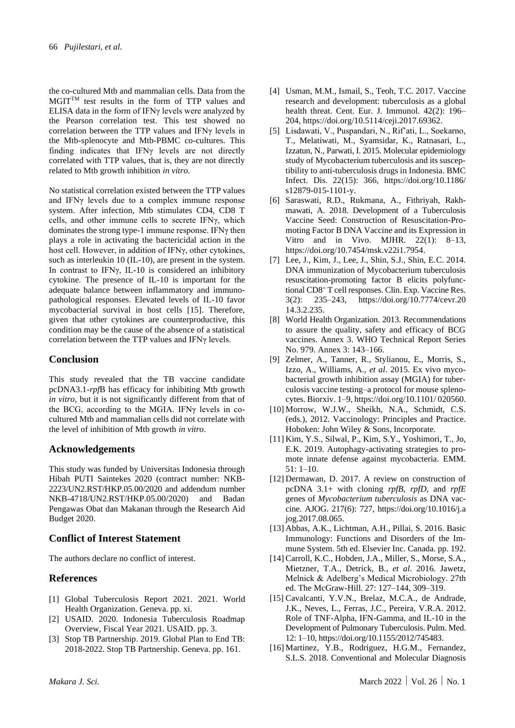the co-cultured Mtb and mammalian cells. Data from the MGITTM test results in the form of TTP values and ELISA data in the form of IFNγ levels were analyzed by the Pearson correlation test. This test showed no correlation between the TTP values and IFNγ levels in the Mtb-splenocyte and Mtb-PBMC co-cultures. This finding indicates that IFNγ levels are not directly correlated with TTP values, that is, they are not directly related to Mtb growth inhibition *in vitro*.

No statistical correlation existed between the TTP values and IFNγ levels due to a complex immune response system. After infection, Mtb stimulates CD4, CD8 T cells, and other immune cells to secrete IFNγ, which dominates the strong type-1 immune response. IFNγ then plays a role in activating the bactericidal action in the host cell. However, in addition of IFNγ, other cytokines, such as interleukin 10 (IL-10), are present in the system. In contrast to IFNγ, IL-10 is considered an inhibitory cytokine. The presence of IL-10 is important for the adequate balance between inflammatory and immunopathological responses. Elevated levels of IL-10 favor mycobacterial survival in host cells [15]. Therefore, given that other cytokines are counterproductive, this condition may be the cause of the absence of a statistical correlation between the TTP values and IFNγ levels.

# **Conclusion**

This study revealed that the TB vaccine candidate pcDNA3.1-*rpf*B has efficacy for inhibiting Mtb growth *in vitro*, but it is not significantly different from that of the BCG, according to the MGIA. IFNγ levels in cocultured Mtb and mammalian cells did not correlate with the level of inhibition of Mtb growth *in vitro*.

## **Acknowledgements**

This study was funded by Universitas Indonesia through Hibah PUTI Saintekes 2020 (contract number: NKB-2223/UN2.RST/HKP.05.00/2020 and addendum number NKB-4718/UN2.RST/HKP.05.00/2020) and Badan Pengawas Obat dan Makanan through the Research Aid Budget 2020.

# **Conflict of Interest Statement**

The authors declare no conflict of interest.

## **References**

- [1] Global Tuberculosis Report 2021. 2021. World Health Organization. Geneva. pp. xi.
- [2] USAID. 2020. Indonesia Tuberculosis Roadmap Overview, Fiscal Year 2021. USAID. pp. 3.
- [3] Stop TB Partnership. 2019. Global Plan to End TB: 2018-2022. Stop TB Partnership. Geneva. pp. 161.
- [4] Usman, M.M., Ismail, S., Teoh, T.C. 2017. Vaccine research and development: tuberculosis as a global health threat. Cent. Eur. J. Immunol. 42(2): 196– 204, https://doi.org/10.5114/ceji.2017.69362.
- [5] Lisdawati, V., Puspandari, N., Rif'ati, L., Soekarno, T., Melatiwati, M., Syamsidar, K., Ratnasari, L., Izzatun, N., Parwati, I. 2015. Molecular epidemiology study of Mycobacterium tuberculosis and its susceptibility to anti-tuberculosis drugs in Indonesia. BMC Infect. Dis. 22(15): 366, https://doi.org/10.1186/ s12879-015-1101-y.
- [6] Saraswati, R.D., Rukmana, A., Fithriyah, Rakhmawati, A. 2018. Development of a Tuberculosis Vaccine Seed: Construction of Resuscitation-Promoting Factor B DNA Vaccine and its Expression in Vitro and in Vivo. MJHR.  $22(1)$ : 8-13, https://doi.org/10.7454/msk.v22i1.7954.
- [7] Lee, J., Kim, J., Lee, J., Shin, S.J., Shin, E.C. 2014. DNA immunization of Mycobacterium tuberculosis resuscitation-promoting factor B elicits polyfunctional CD8<sup>+</sup> T cell responses. Clin. Exp. Vaccine Res. 3(2): 235–243, https://doi.org/10.7774/cevr.20 14.3.2.235.
- [8] World Health Organization. 2013. Recommendations to assure the quality, safety and efficacy of BCG vaccines. Annex 3. WHO Technical Report Series No. 979. Annex 3: 143–166.
- [9] Zelmer, A., Tanner, R., Stylianou, E., Morris, S., Izzo, A., Williams, A., *et al*. 2015. Ex vivo mycobacterial growth inhibition assay (MGIA) for tuberculosis vaccine testing–a protocol for mouse splenocytes. Biorxiv. 1–9, https://doi.org/10.1101/ 020560.
- [10] Morrow, W.J.W., Sheikh, N.A., Schmidt, C.S. (eds.), 2012. Vaccinology: Principles and Practice. Hoboken: John Wiley & Sons, Incorporate.
- [11] Kim, Y.S., Silwal, P., Kim, S.Y., Yoshimori, T., Jo, E.K. 2019. Autophagy-activating strategies to promote innate defense against mycobacteria. EMM. 51: 1–10.
- [12] Dermawan, D. 2017. A review on construction of pcDNA 3.1+ with cloning *rpfB*, *rpfD*, and *rpfE* genes of *Mycobacterium tuberculosis* as DNA vaccine. AJOG. 217(6): 727, https://doi.org/10.1016/j.a jog.2017.08.065.
- [13] Abbas, A.K., Lichtman, A.H., Pillai, S. 2016. Basic Immunology: Functions and Disorders of the Immune System. 5th ed. Elsevier Inc. Canada. pp. 192.
- [14] Carroll, K.C., Hobden, J.A., Miller, S., Morse, S.A., Mietzner, T.A., Detrick, B., *et al*. 2016. Jawetz, Melnick & Adelberg's Medical Microbiology. 27th ed. The McGraw-Hill. 27: 127–144, 309–319.
- [15] Cavalcanti, Y.V.N., Brelaz, M.C.A., de Andrade, J.K., Neves, L., Ferras, J.C., Pereira, V.R.A. 2012. Role of TNF-Alpha, IFN-Gamma, and IL-10 in the Development of Pulmonary Tuberculosis. Pulm. Med. 12: 1–10, https://doi.org/10.1155/2012/745483.
- [16] Martinez, Y.B., Rodriguez, H.G.M., Fernandez, S.L.S. 2018. Conventional and Molecular Diagnosis